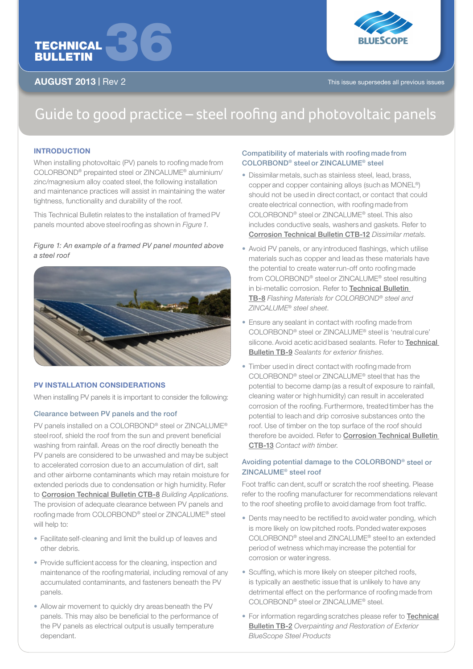



AUGUST 2013 | Rev 2 This issue supersedes all previous issues

# Guide to good practice – steel roofing and photovoltaic panels

# **INTRODUCTION**

When installing photovoltaic (PV) panels to roofing made from COLORBOND® prepainted steel or ZINCALUME® aluminium/ zinc/magnesium alloy coated steel, the following installation and maintenance practices will assist in maintaining the water tightness, functionality and durability of the roof.

This Technical Bulletin relates to the installation of framed PV panels mounted above steel roofing as shown in *Figure 1*.

# *Figure 1: An example of a framed PV panel mounted above a steel roof*



#### PV INSTALLATION CONSIDERATIONS

When installing PV panels it is important to consider the following:

# Clearance between PV panels and the roof

PV panels installed on a COLORBOND® steel or ZINCALUME® steel roof, shield the roof from the sun and prevent beneficial washing from rainfall. Areas on the roof directly beneath the PV panels are considered to be unwashed and may be subject to accelerated corrosion due to an accumulation of dirt, salt and other airborne contaminants which may retain moisture for extended periods due to condensation or high humidity. Refer to Corrosion Technical Bulletin CTB-8 *Building Applications*. The provision of adequate clearance between PV panels and roofing made from COLORBOND® steel or ZINCALUME® steel will help to:

- Facilitate self-cleaning and limit the build up of leaves and other debris.
- Provide sufficient access for the cleaning, inspection and maintenance of the roofing material, including removal of any accumulated contaminants, and fasteners beneath the PV panels.
- Allow air movement to quickly dry areas beneath the PV panels. This may also be beneficial to the performance of the PV panels as electrical output is usually temperature dependant.

# Compatibility of materials with roofing made from COLORBOND® steel or ZINCALUME® steel

- Dissimilar metals, such as stainless steel, lead, brass, copper and copper containing alloys (such as MONEL®) should not be used in direct contact, or contact that could create electrical connection, with roofing made from COLORBOND® steel or ZINCALUME® steel. This also includes conductive seals, washers and gaskets. Refer to Corrosion Technical Bulletin CTB-12 *Dissimilar metals*.
- Avoid PV panels, or any introduced flashings, which utilise materials such as copper and lead as these materials have the potential to create water run-off onto roofing made from COLORBOND® steel or ZINCALUME® steel resulting in bi-metallic corrosion. Refer to Technical Bulletin TB-8 *Flashing Materials for COLORBOND® steel and ZINCALUME® steel sheet*.
- Ensure any sealant in contact with roofing made from COLORBOND® steel or ZINCALUME® steel is 'neutral cure' silicone. Avoid acetic acid based sealants. Refer to **Technical** Bulletin TB-9 *Sealants for exterior finishes*.
- Timber used in direct contact with roofing made from COLORBOND® steel or ZINCALUME® steel that has the potential to become damp (as a result of exposure to rainfall, cleaning water or high humidity) can result in accelerated corrosion of the roofing. Furthermore, treated timber has the potential to leach and drip corrosive substances onto the roof. Use of timber on the top surface of the roof should therefore be avoided. Refer to Corrosion Technical Bulletin CTB-13 *Contact with timber*.

# Avoiding potential damage to the COLORBOND® steel or ZINCALUME® steel roof

Foot traffic can dent, scuff or scratch the roof sheeting. Please refer to the roofing manufacturer for recommendations relevant to the roof sheeting profile to avoid damage from foot traffic.

- Dents may need to be rectified to avoid water ponding, which is more likely on low pitched roofs. Ponded water exposes COLORBOND® steel and ZINCALUME® steel to an extended period of wetness which may increase the potential for corrosion or water ingress.
- Scuffing, which is more likely on steeper pitched roofs, is typically an aesthetic issue that is unlikely to have any detrimental effect on the performance of roofing made from COLORBOND® steel or ZINCALUME® steel.
- For information regarding scratches please refer to **Technical** Bulletin TB-2 *Overpainting and Restoration of Exterior BlueScope Steel Products*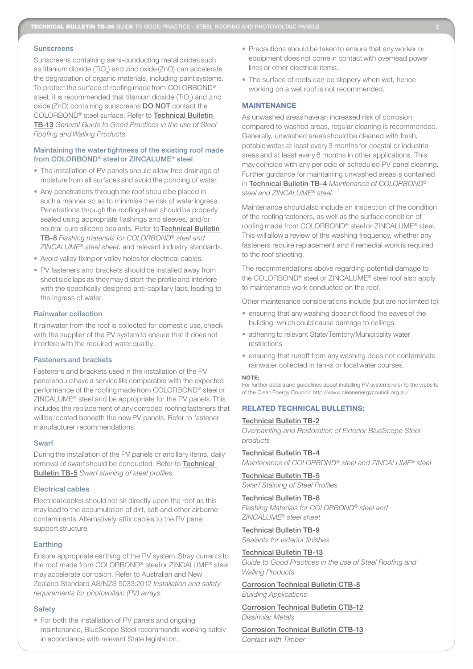#### **Sunscreens**

Sunscreens containing semi-conducting metal oxides such as titanium dioxide (TiO $_{\rm 2}$ ) and zinc oxide (ZnO) can accelerate the degradation of organic materials, including paint systems. To protect the surface of roofing made from COLORBOND® steel, it is recommended that titanium dioxide (TiO<sub>2</sub>) and zinc oxide (ZnO) containing sunscreens DO NOT contact the COLORBOND® steel surface. Refer to Technical Bulletin TB-13 *General Guide to Good Practices in the use of Steel Roofing and Walling Products*.

# Maintaining the watertightness of the existing roof made from COLORBOND® steel or ZINCALUME® steel

- The installation of PV panels should allow free drainage of moisture from all surfaces and avoid the ponding of water.
- Any penetrations through the roof should be placed in such a manner so as to minimise the risk of water ingress. Penetrations through the roofing sheet should be properly sealed using appropriate flashings and sleeves, and/or neutral-cure silicone sealants. Refer to Technical Bulletin TB-8 *Flashing materials for COLORBOND® steel and ZINCALUME® steel sheet*, and relevant industry standards.
- Avoid valley fixing or valley holes for electrical cables.
- PV fasteners and brackets should be installed away from sheet side laps as they may distort the profile and interfere with the specifically designed anti-capillary laps, leading to the ingress of water.

#### Rainwater collection

If rainwater from the roof is collected for domestic use, check with the supplier of the PV system to ensure that it does not interfere with the required water quality.

# Fasteners and brackets

Fasteners and brackets used in the installation of the PV panel should have a service life comparable with the expected performance of the roofing made from COLORBOND® steel or ZINCALUME® steel and be appropriate for the PV panels. This includes the replacement of any corroded roofing fasteners that will be located beneath the new PV panels. Refer to fastener manufacturer recommendations.

#### **Swarf**

During the installation of the PV panels or ancillary items, daily removal of swarf should be conducted. Refer to **Technical** Bulletin TB-5 *Swarf staining of steel profiles*.

#### Electrical cables

Electrical cables should not sit directly upon the roof as this may lead to the accumulation of dirt, salt and other airborne contaminants. Alternatively, affix cables to the PV panel support structure.

#### **Earthing**

Ensure appropriate earthing of the PV system. Stray currents to the roof made from COLORBOND® steel or ZINCALUME® steel may accelerate corrosion. Refer to Australian and New Zealand Standard AS/NZS 5033:2012 *Installation and safety requirements for photovoltaic (PV) arrays*.

#### **Safety**

• For both the installation of PV panels and ongoing maintenance, BlueScope Steel recommends working safely in accordance with relevant State legislation.

- Precautions should be taken to ensure that any worker or equipment does not come in contact with overhead power lines or other electrical items.
- The surface of roofs can be slippery when wet, hence working on a wet roof is not recommended.

#### **MAINTENANCE**

As unwashed areas have an increased risk of corrosion compared to washed areas, regular cleaning is recommended. Generally, unwashed areas should be cleaned with fresh, potable water, at least every 3 months for coastal or industrial areas and at least every 6 months in other applications. This may coincide with any periodic or scheduled PV panel cleaning. Further guidance for maintaining unwashed areas is contained in Technical Bulletin TB-4 *Maintenance of COLORBOND® steel and ZINCALUME® steel*.

Maintenance should also include an inspection of the condition of the roofing fasteners, as well as the surface condition of roofing made from COLORBOND® steel or ZINCALUME® steel. This will allow a review of the washing frequency, whether any fasteners require replacement and if remedial work is required to the roof sheeting.

The recommendations above regarding potential damage to the COLORBOND® steel or ZINCALUME® steel roof also apply to maintenance work conducted on the roof.

Other maintenance considerations include (but are not limited to):

- ensuring that any washing does not flood the eaves of the building, which could cause damage to ceilings.
- adhering to relevant State/Territory/Municipality water restrictions.
- ensuring that runoff from any washing does not contaminate rainwater collected in tanks or local water courses.

#### Note:

For further details and guidelines about installing PV systems refer to the website of the Clean Energy Council: http://www.cleanenergycouncil.org.au/

# Related Technical Bulletins:

#### Technical Bulletin TB-2

*Overpainting and Restoration of Exterior BlueScope Steel products*

Technical Bulletin TB-4

*Maintenance of COLORBOND® steel and ZINCALUME® steel*

Technical Bulletin TB-5

*Swarf Staining of Steel Profiles*

# Technical Bulletin TB-8

*Flashing Materials for COLORBOND® steel and ZINCALUME® steel sheet*

Technical Bulletin TB-9

*Sealants for exterior finishes*

# Technical Bulletin TB-13

*Guide to Good Practices in the use of Steel Roofing and Walling Products*

Corrosion Technical Bulletin CTB-8

*Building Applications*

Corrosion Technical Bulletin CTB-12 *Dissimilar Metals*

Corrosion Technical Bulletin CTB-13 *Contact with Timber*